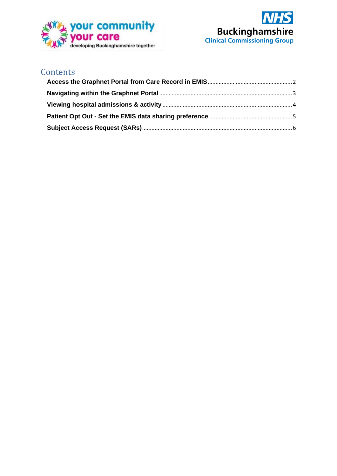



#### **Contents**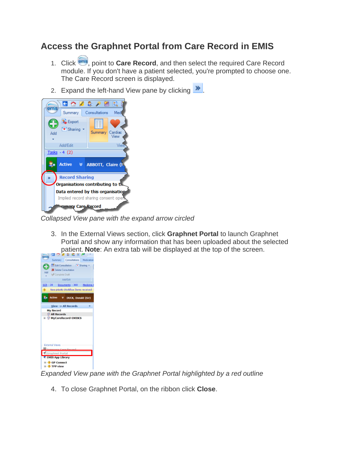### <span id="page-1-0"></span>**Access the Graphnet Portal from Care Record in EMIS**

- 1. Click ems, point to **Care Record**, and then select the required Care Record module. If you don't have a patient selected, you're prompted to choose one. The Care Record screen is displayed.
- 2. Expand the left-hand View pane by clicking  $\mathbf{\gg}$



*Collapsed View pane with the expand arrow circled*

3. In the External Views section, click **Graphnet Portal** to launch Graphnet Portal and show any information that has been uploaded about the selected patient. **Note**: An extra tab will be displayed at the top of the screen.



*Expanded View pane with the Graphnet Portal highlighted by a red outline*

4. To close Graphnet Portal, on the ribbon click **Close**.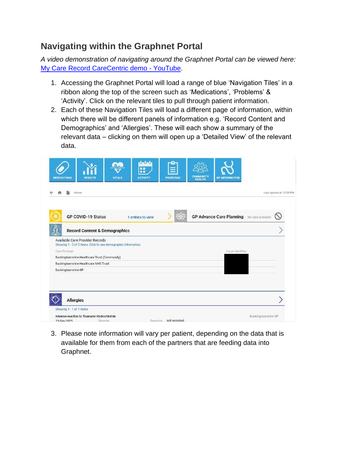## <span id="page-2-0"></span>**Navigating within the Graphnet Portal**

*A video demonstration of navigating around the Graphnet Portal can be viewed here:*  [My Care Record CareCentric demo -](https://www.youtube.com/watch?v=RCsbp1s9DtU) YouTube.

- 1. Accessing the Graphnet Portal will load a range of blue 'Navigation Tiles' in a ribbon along the top of the screen such as 'Medications', 'Problems' & 'Activity'. Click on the relevant tiles to pull through patient information.
- 2. Each of these Navigation Tiles will load a different page of information, within which there will be different panels of information e.g. 'Record Content and Demographics' and 'Allergies'. These will each show a summary of the relevant data – clicking on them will open up a 'Detailed View' of the relevant data.

| Home                                                                                               |                   |                                                      | Last synced at 13:59 PM |
|----------------------------------------------------------------------------------------------------|-------------------|------------------------------------------------------|-------------------------|
| <b>GP COVID-19 Status</b>                                                                          | 1 entries to view | <b>GP Advance Care Planning</b><br>No data available |                         |
| <b>Record Content &amp; Demographics</b>                                                           |                   |                                                      |                         |
| Available Care Provider Records<br>Showing 1 - 3 of 3 items. Click to see demographic information. |                   |                                                      |                         |
| Care Provider:                                                                                     |                   | Local Identifier:                                    |                         |
| Buckinghamshire Healthcare Trust (Community)                                                       |                   |                                                      |                         |
| Buckinghamshire Healthcare NHS Trust                                                               |                   |                                                      |                         |
| Buckinghamshire GP                                                                                 |                   |                                                      |                         |
|                                                                                                    |                   |                                                      |                         |
|                                                                                                    |                   |                                                      |                         |

3. Please note information will vary per patient, depending on the data that is available for them from each of the partners that are feeding data into Graphnet.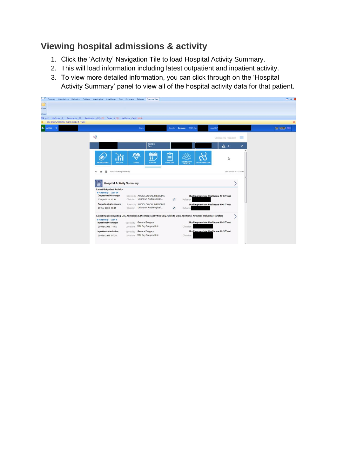## <span id="page-3-0"></span>**Viewing hospital admissions & activity**

- 1. Click the 'Activity' Navigation Tile to load Hospital Activity Summary.
- 2. This will load information including latest outpatient and inpatient activity.
- 3. To view more detailed information, you can click through on the 'Hospital Activity Summary' panel to view all of the hospital activity data for that patient.

| Ü<br>Summary Consultations Medication Problems Investigations Care History Diary Documents Referrals Graphnet View |                                                                        |                                                              |                                                                                                                               |                         | $\Box$ $\theta$ (     |
|--------------------------------------------------------------------------------------------------------------------|------------------------------------------------------------------------|--------------------------------------------------------------|-------------------------------------------------------------------------------------------------------------------------------|-------------------------|-----------------------|
|                                                                                                                    |                                                                        |                                                              |                                                                                                                               |                         |                       |
| Close                                                                                                              |                                                                        |                                                              |                                                                                                                               |                         |                       |
| Close                                                                                                              |                                                                        |                                                              |                                                                                                                               |                         |                       |
| Referrals - 2 Documents - 37<br>$SCR - 42$                                                                         | Registration - 293 (5) Tasks - 4 (2) Mall Inbox - 3002 (695)           |                                                              |                                                                                                                               |                         |                       |
| New priority Workflow Items received - Tasks                                                                       |                                                                        |                                                              |                                                                                                                               |                         | $\boldsymbol{\times}$ |
| <b>Z</b> . Active<br>$\cdot$                                                                                       |                                                                        | <b>Born</b>                                                  | Gender Female EMIS No.                                                                                                        | <b>Usual GP</b>         | CG [FRONT] [EDE]      |
|                                                                                                                    | $\circledcirc$                                                         |                                                              |                                                                                                                               | Misbourne Practice<br>≕ |                       |
|                                                                                                                    |                                                                        | Fomalo                                                       |                                                                                                                               |                         |                       |
|                                                                                                                    |                                                                        | <b>Sex</b>                                                   |                                                                                                                               | △ 。<br>$\checkmark$     |                       |
|                                                                                                                    |                                                                        | <b>datal</b>                                                 | Ê                                                                                                                             |                         |                       |
|                                                                                                                    | <b>MEDICATIONS</b><br><b>RESULTS</b>                                   | œ<br><b>VITALS</b>                                           | <b>PROBLEMS</b><br><b>GP INFORMATION</b>                                                                                      | ↳                       |                       |
|                                                                                                                    |                                                                        | <b>ACTIVITY</b>                                              | COMMUNITY                                                                                                                     |                         |                       |
|                                                                                                                    | $\blacksquare$<br>Home > Activity Summary<br>$\leftarrow$<br>$\bullet$ |                                                              |                                                                                                                               | Last synced at 14:13 PM |                       |
|                                                                                                                    |                                                                        |                                                              |                                                                                                                               |                         |                       |
|                                                                                                                    |                                                                        |                                                              |                                                                                                                               |                         |                       |
|                                                                                                                    | <b>Hospital Activity Summary</b><br>E                                  |                                                              |                                                                                                                               |                         |                       |
|                                                                                                                    | <b>Latest Outpatient Activity</b>                                      |                                                              |                                                                                                                               |                         |                       |
|                                                                                                                    | $\bullet$ Showing 1 - 2 of 54<br><b>Outpatient Discharge</b>           | Specialty AUDIOLOGICAL MEDICINE                              | <b>Buckinghamshire Healthcare NHS Trust</b>                                                                                   |                         |                       |
|                                                                                                                    | 27-Apr-2020 13:16                                                      | Unknown Audiological<br>Clinician                            | $\mathbf{r}$<br>Referrer                                                                                                      |                         |                       |
|                                                                                                                    | <b>Outpatient Attendance</b>                                           | Specialty AUDIOLOGICAL MEDICINE                              | <b>Buckinghamshire Healthcare NHS Trust</b>                                                                                   |                         |                       |
|                                                                                                                    | 27-Apr-2020 13:15                                                      | Unknown Audiological<br>Clinician                            | v<br>Referrer                                                                                                                 |                         |                       |
|                                                                                                                    |                                                                        |                                                              | Latest Inpatient Waiting List, Admission & Discharge Activities Only. Click to View Additional Activities Including Transfers |                         |                       |
|                                                                                                                    | $\bullet$ Showing 1 - 2 of 4                                           |                                                              |                                                                                                                               |                         |                       |
|                                                                                                                    | <b>Inpatient Discharge</b><br>20-Mar-2019 14:52                        | Specialty General Surgery<br>WH Day Surgery Unit<br>Location | <b>Buckinghamshire Healthcare NHS Trust</b><br>Clinician                                                                      |                         |                       |
|                                                                                                                    | <b>Inpatient Admission</b>                                             | General Surgery<br>Specialty                                 | <b>Buckinghamshire Healthcare NHS Trust</b>                                                                                   |                         |                       |
|                                                                                                                    | 20-Mar-2019 07:30                                                      | Location WH Day Surgery Unit                                 | Clinician                                                                                                                     |                         |                       |
|                                                                                                                    |                                                                        |                                                              |                                                                                                                               |                         |                       |
|                                                                                                                    |                                                                        |                                                              |                                                                                                                               |                         |                       |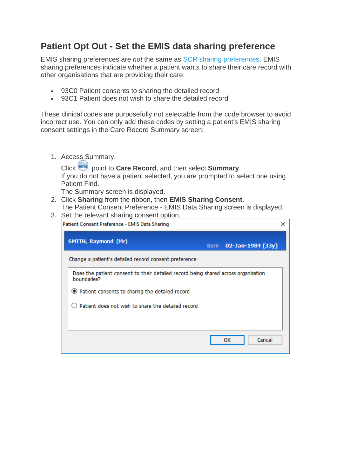### <span id="page-4-0"></span>**Patient Opt Out - Set the EMIS data sharing preference**

EMIS sharing preferences are *not* the same as [SCR sharing preferences.](https://www.emisnow.com/csm?id=kb_article&sysparm_article=KB0018928) EMIS sharing preferences indicate whether a patient wants to share their care record with other organisations that are providing their care:

- 93C0 Patient consents to sharing the detailed record
- 93C1 Patient does not wish to share the detailed record

These clinical codes are purposefully not selectable from the code browser to avoid incorrect use. You can only add these codes by setting a patient's EMIS sharing consent settings in the Care Record Summary screen:

1. Access Summary.

Click , point to **Care Record**, and then select **Summary**. If you do not have a patient selected, you are prompted to select one using Patient Find.

The Summary screen is displayed.

- 2. Click **Sharing** from the ribbon, then **EMIS Sharing Consent**. The Patient Consent Preference - EMIS Data Sharing screen is displayed.
- 3. Set the relevant sharing consent option.

| Patient Consent Preference - EMIS Data Sharing                                                    |        |                   |
|---------------------------------------------------------------------------------------------------|--------|-------------------|
| SMITH, Raymond (Mr)                                                                               | Born - | 02-Jan-1984 (33y) |
| Change a patient's detailed record consent preference                                             |        |                   |
| Does the patient consent to their detailed record being shared across organisation<br>boundaries? |        |                   |
| ● Patient consents to sharing the detailed record                                                 |        |                   |
| Patient does not wish to share the detailed record                                                |        |                   |
|                                                                                                   |        |                   |
|                                                                                                   |        |                   |
|                                                                                                   |        | Cancel<br>οк      |